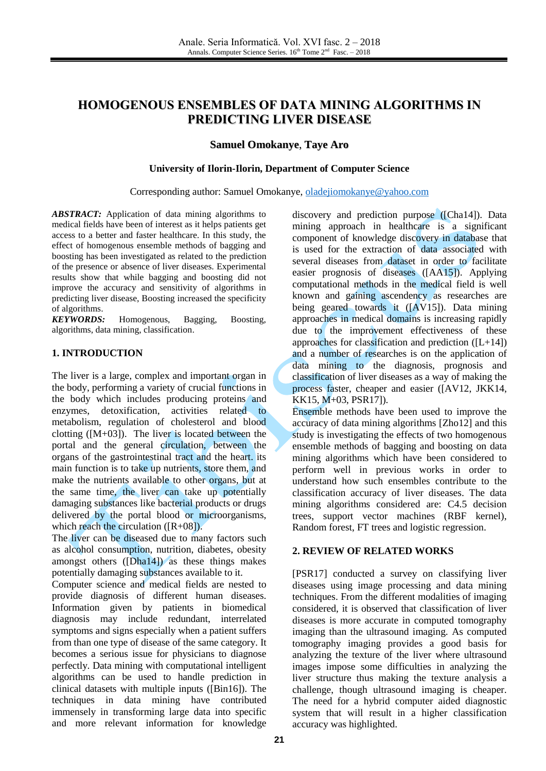# **HOMOGENOUS ENSEMBLES OF DATA MINING ALGORITHMS IN PREDICTING LIVER DISEASE**

## **Samuel Omokanye**, **Taye Aro**

#### **University of Ilorin-Ilorin, Department of Computer Science**

#### Corresponding author: Samuel Omokanye, [oladejiomokanye@yahoo.com](mailto:oladejiomokanye@yahoo.com)

*ABSTRACT:* Application of data mining algorithms to medical fields have been of interest as it helps patients get access to a better and faster healthcare. In this study, the effect of homogenous ensemble methods of bagging and boosting has been investigated as related to the prediction of the presence or absence of liver diseases. Experimental results show that while bagging and boosting did not improve the accuracy and sensitivity of algorithms in predicting liver disease, Boosting increased the specificity of algorithms.

*KEYWORDS:* Homogenous, Bagging, Boosting, algorithms, data mining, classification.

### **1. INTRODUCTION**

The liver is a large, complex and important organ in the body, performing a variety of crucial functions in the body which includes producing proteins and enzymes, detoxification, activities related to metabolism, regulation of cholesterol and blood clotting  $([M+03])$ . The liver is located between the portal and the general circulation, between the organs of the gastrointestinal tract and the heart. its main function is to take up nutrients, store them, and make the nutrients available to other organs, but at the same time, the liver can take up potentially damaging substances like bacterial products or drugs delivered by the portal blood or microorganisms, which reach the circulation ([R+08]).

The liver can be diseased due to many factors such as alcohol consumption, nutrition, diabetes, obesity amongst others ([Dha14]) as these things makes potentially damaging substances available to it.

Computer science and medical fields are nested to provide diagnosis of different human diseases. Information given by patients in biomedical diagnosis may include redundant, interrelated symptoms and signs especially when a patient suffers from than one type of disease of the same category. It becomes a serious issue for physicians to diagnose perfectly. Data mining with computational intelligent algorithms can be used to handle prediction in clinical datasets with multiple inputs ([Bin16]). The techniques in data mining have contributed immensely in transforming large data into specific and more relevant information for knowledge

discovery and prediction purpose ([Cha14]). Data mining approach in healthcare is a significant component of knowledge discovery in database that is used for the extraction of data associated with several diseases from dataset in order to facilitate easier prognosis of diseases ([AA15]). Applying computational methods in the medical field is well known and gaining ascendency as researches are being geared towards it ([AV15]). Data mining approaches in medical domains is increasing rapidly due to the improvement effectiveness of these approaches for classification and prediction  $([L+14])$ and a number of researches is on the application of data mining to the diagnosis, prognosis and classification of liver diseases as a way of making the process faster, cheaper and easier ([AV12, JKK14, KK15, M+03, PSR17]).

Ensemble methods have been used to improve the accuracy of data mining algorithms [Zho12] and this study is investigating the effects of two homogenous ensemble methods of bagging and boosting on data mining algorithms which have been considered to perform well in previous works in order to understand how such ensembles contribute to the classification accuracy of liver diseases. The data mining algorithms considered are: C4.5 decision trees, support vector machines (RBF kernel), Random forest, FT trees and logistic regression.

### **2. REVIEW OF RELATED WORKS**

[PSR17] conducted a survey on classifying liver diseases using image processing and data mining techniques. From the different modalities of imaging considered, it is observed that classification of liver diseases is more accurate in computed tomography imaging than the ultrasound imaging. As computed tomography imaging provides a good basis for analyzing the texture of the liver where ultrasound images impose some difficulties in analyzing the liver structure thus making the texture analysis a challenge, though ultrasound imaging is cheaper. The need for a hybrid computer aided diagnostic system that will result in a higher classification accuracy was highlighted.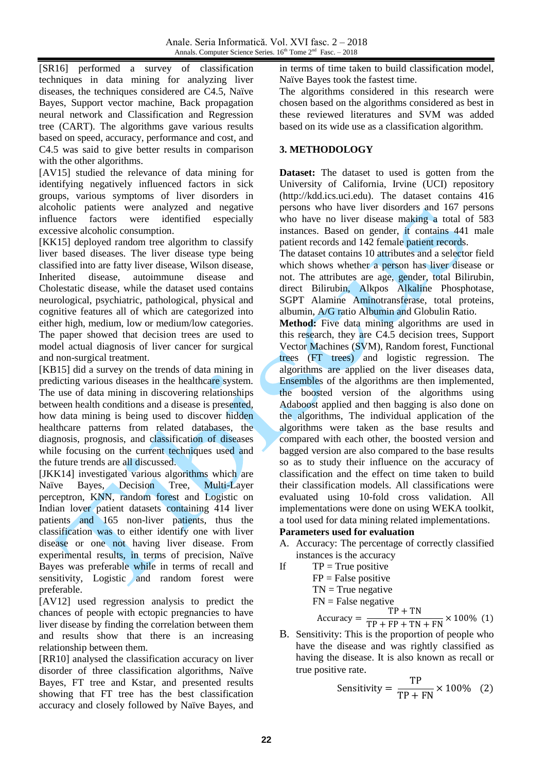[SR16] performed a survey of classification techniques in data mining for analyzing liver diseases, the techniques considered are C4.5, Naïve Bayes, Support vector machine, Back propagation neural network and Classification and Regression tree (CART). The algorithms gave various results based on speed, accuracy, performance and cost, and C4.5 was said to give better results in comparison with the other algorithms.

[AV15] studied the relevance of data mining for identifying negatively influenced factors in sick groups, various symptoms of liver disorders in alcoholic patients were analyzed and negative influence factors were identified especially excessive alcoholic consumption.

[KK15] deployed random tree algorithm to classify liver based diseases. The liver disease type being classified into are fatty liver disease, Wilson disease, Inherited disease, autoimmune disease and Cholestatic disease, while the dataset used contains neurological, psychiatric, pathological, physical and cognitive features all of which are categorized into either high, medium, low or medium/low categories. The paper showed that decision trees are used to model actual diagnosis of liver cancer for surgical and non-surgical treatment.

[KB15] did a survey on the trends of data mining in predicting various diseases in the healthcare system. The use of data mining in discovering relationships between health conditions and a disease is presented, how data mining is being used to discover hidden healthcare patterns from related databases, the diagnosis, prognosis, and classification of diseases while focusing on the current techniques used and the future trends are all discussed.

[JKK14] investigated various algorithms which are Naïve Bayes, Decision Tree, Multi-Layer perceptron, KNN, random forest and Logistic on Indian lover patient datasets containing 414 liver patients and 165 non-liver patients, thus the classification was to either identify one with liver disease or one not having liver disease. From experimental results, in terms of precision, Naïve Bayes was preferable while in terms of recall and sensitivity, Logistic and random forest were preferable.

[AV12] used regression analysis to predict the chances of people with ectopic pregnancies to have liver disease by finding the correlation between them and results show that there is an increasing relationship between them.

[RR10] analysed the classification accuracy on liver disorder of three classification algorithms, Naïve Bayes, FT tree and Kstar, and presented results showing that FT tree has the best classification accuracy and closely followed by Naïve Bayes, and in terms of time taken to build classification model, Naïve Bayes took the fastest time.

The algorithms considered in this research were chosen based on the algorithms considered as best in these reviewed literatures and SVM was added based on its wide use as a classification algorithm.

# **3. METHODOLOGY**

**Dataset:** The dataset to used is gotten from the University of California, Irvine (UCI) repository (http://kdd.ics.uci.edu). The dataset contains 416 persons who have liver disorders and 167 persons who have no liver disease making a total of 583 instances. Based on gender, it contains 441 male patient records and 142 female patient records.

The dataset contains 10 attributes and a selector field which shows whether a person has liver disease or not. The attributes are age, gender, total Bilirubin, direct Bilirubin, Alkpos Alkaline Phosphotase, SGPT Alamine Aminotransferase, total proteins, albumin, A/G ratio Albumin and Globulin Ratio.

**Method:** Five data mining algorithms are used in this research, they are C4.5 decision trees, Support Vector Machines (SVM), Random forest, Functional trees (FT trees) and logistic regression. The algorithms are applied on the liver diseases data, Ensembles of the algorithms are then implemented, the boosted version of the algorithms using Adaboost applied and then bagging is also done on the algorithms, The individual application of the algorithms were taken as the base results and compared with each other, the boosted version and bagged version are also compared to the base results so as to study their influence on the accuracy of classification and the effect on time taken to build their classification models. All classifications were evaluated using 10-fold cross validation. All implementations were done on using WEKA toolkit, a tool used for data mining related implementations.

# **Parameters used for evaluation**

- A. Accuracy: The percentage of correctly classified instances is the accuracy
- If  $TP = True positive$ 
	- $FP = False positive$
	- $TN = True$  negative
	- $FN = False$  negative כ<br>תח⊦∟ תי

$$
Accuracy = \frac{TP + TN}{TP + FP + TN + FN} \times 100\% (1)
$$

B. Sensitivity: This is the proportion of people who have the disease and was rightly classified as having the disease. It is also known as recall or true positive rate.

Sensitivity = 
$$
\frac{\text{TP}}{\text{TP} + \text{FN}} \times 100\% \quad (2)
$$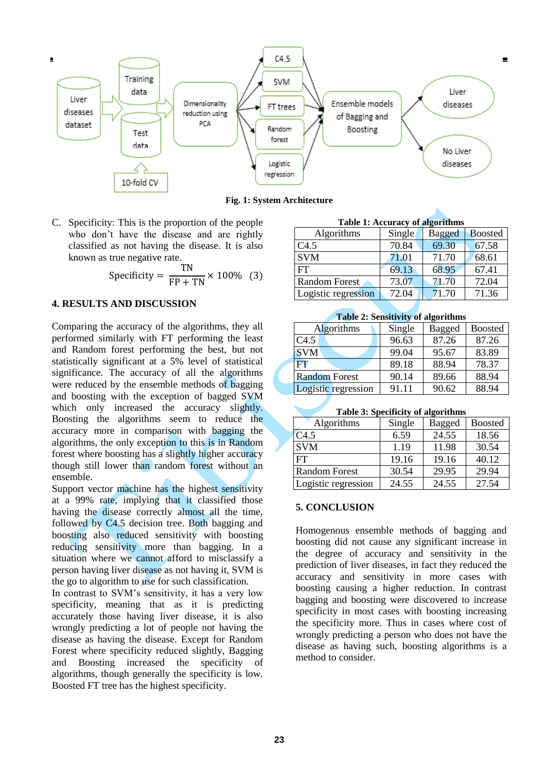

**Fig. 1: System Architecture**

C. Specificity: This is the proportion of the people who don't have the disease and are rightly classified as not having the disease. It is also known as true negative rate.

$$
Specificity = \frac{TN}{FP + TN} \times 100\% \quad (3)
$$

# **4. RESULTS AND DISCUSSION**

Comparing the accuracy of the algorithms, they all performed similarly with FT performing the least and Random forest performing the best, but not statistically significant at a 5% level of statistical significance. The accuracy of all the algorithms were reduced by the ensemble methods of bagging and boosting with the exception of bagged SVM which only increased the accuracy slightly. Boosting the algorithms seem to reduce the accuracy more in comparison with bagging the algorithms, the only exception to this is in Random forest where boosting has a slightly higher accuracy though still lower than random forest without an ensemble.

Support vector machine has the highest sensitivity at a 99% rate, implying that it classified those having the disease correctly almost all the time, followed by C4.5 decision tree. Both bagging and boosting also reduced sensitivity with boosting reducing sensitivity more than bagging. In a situation where we cannot afford to misclassify a person having liver disease as not having it, SVM is the go to algorithm to use for such classification.

In contrast to SVM's sensitivity, it has a very low specificity, meaning that as it is predicting accurately those having liver disease, it is also wrongly predicting a lot of people not having the disease as having the disease. Except for Random Forest where specificity reduced slightly, Bagging and Boosting increased the specificity of algorithms, though generally the specificity is low. Boosted FT tree has the highest specificity.

| Table 1: Accuracy of algorithms |        |               |                |  |  |  |
|---------------------------------|--------|---------------|----------------|--|--|--|
| Algorithms                      | Single | <b>Bagged</b> | <b>Boosted</b> |  |  |  |
| C4.5                            | 70.84  | 69.30         | 67.58          |  |  |  |
| <b>SVM</b>                      | 71.01  | 71.70         | 68.61          |  |  |  |
| FT                              | 69.13  | 68.95         | 67.41          |  |  |  |
| <b>Random Forest</b>            | 73.07  | 71.70         | 72.04          |  |  |  |
| Logistic regression             | 72.04  | 71.70         | 71.36          |  |  |  |

# **Table 2: Sensitivity of algorithms**

| $1.4010 \pm 0.00101 \times 10^{1}$ of $\mu_{\rm B}$ of $\mu_{\rm C}$ |        |        |                |  |  |  |
|----------------------------------------------------------------------|--------|--------|----------------|--|--|--|
| Algorithms                                                           | Single | Bagged | <b>Boosted</b> |  |  |  |
| C4.5                                                                 | 96.63  | 87.26  | 87.26          |  |  |  |
| <b>SVM</b>                                                           | 99.04  | 95.67  | 83.89          |  |  |  |
| FT                                                                   | 89.18  | 88.94  | 78.37          |  |  |  |
| <b>Random Forest</b>                                                 | 90.14  | 89.66  | 88.94          |  |  |  |
| Logistic regression                                                  | 91.11  | 90.62  | 88.94          |  |  |  |

### **Table 3: Specificity of algorithms**

| Algorithms           | Single | Bagged | <b>Boosted</b> |
|----------------------|--------|--------|----------------|
| C4.5                 | 6.59   | 24.55  | 18.56          |
| <b>SVM</b>           | 1.19   | 11.98  | 30.54          |
| FT                   | 19.16  | 19.16  | 40.12          |
| <b>Random Forest</b> | 30.54  | 29.95  | 29.94          |
| Logistic regression  | 24.55  | 24.55  | 27.54          |

# **5. CONCLUSION**

Homogenous ensemble methods of bagging and boosting did not cause any significant increase in the degree of accuracy and sensitivity in the prediction of liver diseases, in fact they reduced the accuracy and sensitivity in more cases with boosting causing a higher reduction. In contrast bagging and boosting were discovered to increase specificity in most cases with boosting increasing the specificity more. Thus in cases where cost of wrongly predicting a person who does not have the disease as having such, boosting algorithms is a method to consider.